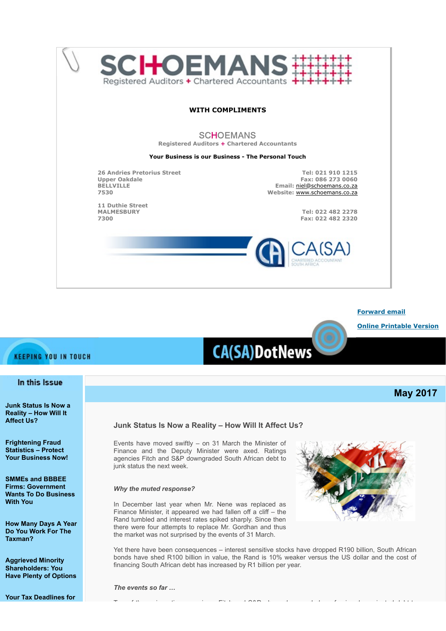



#### **KEEPING YOU IN TOUCH**

#### In this Issue

**[Junk Status Is Now a](#page-0-0) [Reality – How Will It](#page-0-0) [Affect Us?](#page-0-0)**

**[Frightening Fraud](#page-3-0) [Statistics – Protect](#page-3-0) [Your Business Now!](#page-3-0)**

**[SMMEs and BBBEE](#page-4-0) [Firms: Government](#page-4-0) [Wants To Do Business](#page-4-0) [With You](#page-4-0)**

**[How Many Days A Year](#page-5-0) [Do You Work For The](#page-5-0) [Taxman?](#page-5-0)**

**[Aggrieved Minority](#page-5-1) [Shareholders: You](#page-5-1) [Have Plenty of Options](#page-5-1)**

**[Your Tax Deadlines for](#page-6-0)**

# **CA(SA)DotNews**

**May 2017**

#### <span id="page-0-0"></span>**Junk Status Is Now a Reality – How Will It Affect Us?**

Events have moved swiftly – on 31 March the Minister of Finance and the Deputy Minister were axed. Ratings agencies Fitch and S&P downgraded South African debt to junk status the next week.

#### *Why the muted response?*

In December last year when Mr. Nene was replaced as Finance Minister, it appeared we had fallen off a cliff – the Rand tumbled and interest rates spiked sharply. Since then there were four attempts to replace Mr. Gordhan and thus the market was not surprised by the events of 31 March.



Yet there have been consequences – interest sensitive stocks have dropped R190 billion, South African bonds have shed R100 billion in value, the Rand is 10% weaker versus the US dollar and the cost of financing South African debt has increased by R1 billion per year.

*The events so far …* 

T f the same time that the fit is the same of the same time that the same time that the same of the same of th<br>The same of the same of the same of the same of the same of the same of the same of the same of the same of th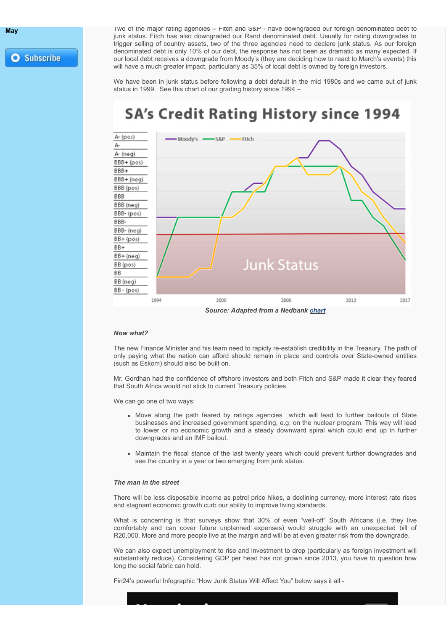**[May](#page-6-0) May** Two of the major rating agencies – Fitch and S&P - have downgraded our foreign denominated debt to junk status. Fitch has also downgraded our Rand denominated debt. Usually for rating downgrades to trigger selling of country assets, two of the three agencies need to declare junk status. As our foreign denominated debt is only 10% of our debt, the response has not been as dramatic as many expected. If our local debt receives a downgrade from Moody's (they are deciding how to react to March's events) this will have a much greater impact, particularly as 35% of local debt is owned by foreign investors.

> We have been in junk status before following a debt default in the mid 1980s and we came out of junk status in 1999. See this chart of our grading history since 1994 –

### **SA's Credit Rating History since 1994**



#### *Now what?*

The new Finance Minister and his team need to rapidly re-establish credibility in the Treasury. The path of only paying what the nation can afford should remain in place and controls over State-owned entities (such as Eskom) should also be built on.

Mr. Gordhan had the confidence of offshore investors and both Fitch and S&P made it clear they feared that South Africa would not stick to current Treasury policies.

We can go one of two ways:

- Move along the path feared by ratings agencies which will lead to further bailouts of State businesses and increased government spending, e.g. on the nuclear program. This way will lead to lower or no economic growth and a steady downward spiral which could end up in further downgrades and an IMF bailout.
- Maintain the fiscal stance of the last twenty years which could prevent further downgrades and see the country in a year or two emerging from junk status.

#### *The man in the street*

There will be less disposable income as petrol price hikes, a declining currency, more interest rate rises and stagnant economic growth curb our ability to improve living standards.

What is concerning is that surveys show that 30% of even "well-off" South Africans (i.e. they live comfortably and can cover future unplanned expenses) would struggle with an unexpected bill of R20,000. More and more people live at the margin and will be at even greater risk from the downgrade.

We can also expect unemployment to rise and investment to drop (particularly as foreign investment will substantially reduce). Considering GDP per head has not grown since 2013, you have to question how long the social fabric can hold.

Fin24's powerful Infographic "How Junk Status Will Affect You" below says it all -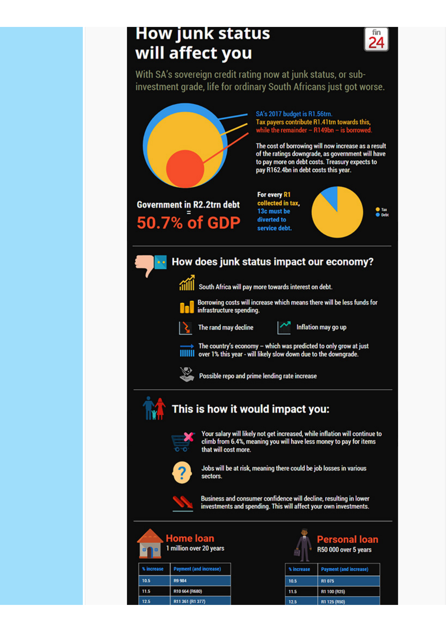## **How junk status** will affect you

24



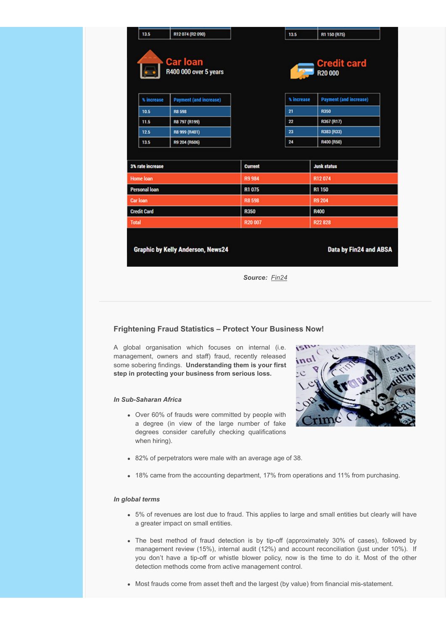|                                                                           | 13.5       | R12074 (R2090)                           |                | 13.5       | R1 150 (R75)                  |
|---------------------------------------------------------------------------|------------|------------------------------------------|----------------|------------|-------------------------------|
| <b>Car loan</b><br><b>Credit card</b><br>R400 000 over 5 years<br>R20 000 |            |                                          |                |            |                               |
|                                                                           | % increase | <b>Payment (and increase)</b>            |                | % increase | <b>Payment (and increase)</b> |
|                                                                           | 10.5       | <b>R8 598</b>                            |                | 21         | <b>R350</b>                   |
|                                                                           | 11.5       | R8 797 (R199)                            |                | 22         | R367 (R17)                    |
|                                                                           | 12.5       | R8 999 (R401)                            |                | 23         | R383 (R33)                    |
|                                                                           | 135        | R9 204 (R606)                            |                | 24         | R400 (R50)                    |
|                                                                           |            |                                          |                |            |                               |
| 3% rate increase                                                          |            |                                          | <b>Current</b> |            | <b>Junk status</b>            |
| <b>Home loan</b>                                                          |            |                                          | <b>R9984</b>   |            | R12074                        |
| Personal loan                                                             |            |                                          | R1075          |            | R1 150                        |
| Car Ioan                                                                  |            |                                          | <b>R8598</b>   |            | <b>R9 204</b>                 |
| <b>Credit Card</b>                                                        |            |                                          | <b>R350</b>    |            | R400                          |
| <b>Total</b>                                                              |            |                                          | R20 007        |            | R22 828                       |
|                                                                           |            | <b>Graphic by Kelly Anderson, News24</b> |                |            | Data by Fin24 and ABSA        |

*Source: [Fin24](http://www.fin24.com/Multimedia/Articles/infographic-how-junk-status-will-affect-you-20170404)*

#### <span id="page-3-0"></span>**Frightening Fraud Statistics – Protect Your Business Now!**

A global organisation which focuses on internal (i.e. management, owners and staff) fraud, recently released some sobering findings. **Understanding them is your first step in protecting your business from serious loss.**

#### *In Sub-Saharan Africa*

Over 60% of frauds were committed by people with a degree (in view of the large number of fake degrees consider carefully checking qualifications when hiring).



- 82% of perpetrators were male with an average age of 38.
- 18% came from the accounting department, 17% from operations and 11% from purchasing.

#### *In global terms*

- 5% of revenues are lost due to fraud. This applies to large and small entities but clearly will have a greater impact on small entities.
- The best method of fraud detection is by tip-off (approximately 30% of cases), followed by management review (15%), internal audit (12%) and account reconciliation (just under 10%). If you don't have a tip-off or whistle blower policy, now is the time to do it. Most of the other detection methods come from active management control.
- Most frauds come from asset theft and the largest (by value) from financial mis-statement.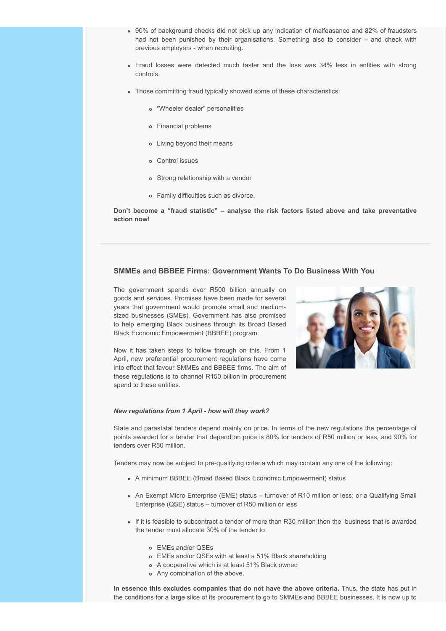- 90% of background checks did not pick up any indication of malfeasance and 82% of fraudsters had not been punished by their organisations. Something also to consider – and check with previous employers - when recruiting.
- Fraud losses were detected much faster and the loss was 34% less in entities with strong controls.
- Those committing fraud typically showed some of these characteristics:
	- "Wheeler dealer" personalities
	- Financial problems
	- Living beyond their means
	- Control issues
	- Strong relationship with a vendor
	- Family difficulties such as divorce.

**Don't become a "fraud statistic" – analyse the risk factors listed above and take preventative action now!**

#### <span id="page-4-0"></span>**SMMEs and BBBEE Firms: Government Wants To Do Business With You**

The government spends over R500 billion annually on goods and services. Promises have been made for several years that government would promote small and mediumsized businesses (SMEs). Government has also promised to help emerging Black business through its Broad Based Black Economic Empowerment (BBBEE) program.

Now it has taken steps to follow through on this. From 1 April, new preferential procurement regulations have come into effect that favour SMMEs and BBBEE firms. The aim of these regulations is to channel R150 billion in procurement spend to these entities.



#### *New regulations from 1 April - how will they work?*

State and parastatal tenders depend mainly on price. In terms of the new regulations the percentage of points awarded for a tender that depend on price is 80% for tenders of R50 million or less, and 90% for tenders over R50 million.

Tenders may now be subject to pre-qualifying criteria which may contain any one of the following:

- A minimum BBBEE (Broad Based Black Economic Empowerment) status
- An Exempt Micro Enterprise (EME) status turnover of R10 million or less; or a Qualifying Small Enterprise (QSE) status – turnover of R50 million or less
- If it is feasible to subcontract a tender of more than R30 million then the business that is awarded the tender must allocate 30% of the tender to
	- EMEs and/or QSEs
	- EMEs and/or QSEs with at least a 51% Black shareholding
	- A cooperative which is at least 51% Black owned
	- Any combination of the above.

**In essence this excludes companies that do not have the above criteria.** Thus, the state has put in the conditions for a large slice of its procurement to go to SMMEs and BBBEE businesses. It is now up to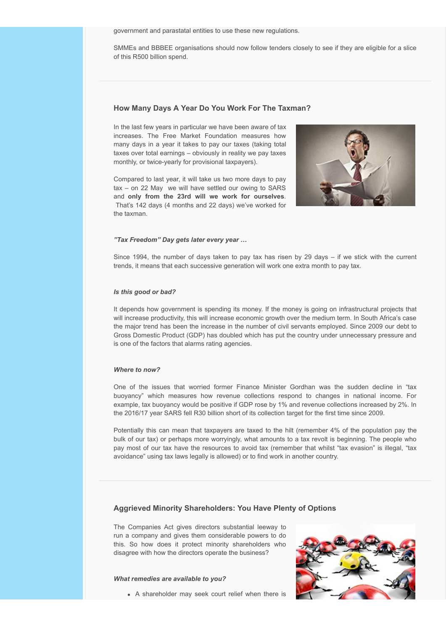government and parastatal entities to use these new regulations.

SMMEs and BBBEE organisations should now follow tenders closely to see if they are eligible for a slice of this R500 billion spend.

#### <span id="page-5-0"></span>**How Many Days A Year Do You Work For The Taxman?**

In the last few years in particular we have been aware of tax increases. The Free Market Foundation measures how many days in a year it takes to pay our taxes (taking total taxes over total earnings – obviously in reality we pay taxes monthly, or twice-yearly for provisional taxpayers).

Compared to last year, it will take us two more days to pay tax – on 22 May we will have settled our owing to SARS and **only from the 23rd will we work for ourselves**. That's 142 days (4 months and 22 days) we've worked for the taxman.



#### *"Tax Freedom" Day gets later every year …*

Since 1994, the number of days taken to pay tax has risen by 29 days – if we stick with the current trends, it means that each successive generation will work one extra month to pay tax.

#### *Is this good or bad?*

It depends how government is spending its money. If the money is going on infrastructural projects that will increase productivity, this will increase economic growth over the medium term. In South Africa's case the major trend has been the increase in the number of civil servants employed. Since 2009 our debt to Gross Domestic Product (GDP) has doubled which has put the country under unnecessary pressure and is one of the factors that alarms rating agencies.

#### *Where to now?*

One of the issues that worried former Finance Minister Gordhan was the sudden decline in "tax buoyancy" which measures how revenue collections respond to changes in national income. For example, tax buoyancy would be positive if GDP rose by 1% and revenue collections increased by 2%. In the 2016/17 year SARS fell R30 billion short of its collection target for the first time since 2009.

Potentially this can mean that taxpayers are taxed to the hilt (remember 4% of the population pay the bulk of our tax) or perhaps more worryingly, what amounts to a tax revolt is beginning. The people who pay most of our tax have the resources to avoid tax (remember that whilst "tax evasion" is illegal, "tax avoidance" using tax laws legally is allowed) or to find work in another country.

#### <span id="page-5-1"></span>**Aggrieved Minority Shareholders: You Have Plenty of Options**

The Companies Act gives directors substantial leeway to run a company and gives them considerable powers to do this. So how does it protect minority shareholders who disagree with how the directors operate the business?

#### *What remedies are available to you?*

A shareholder may seek court relief when there is

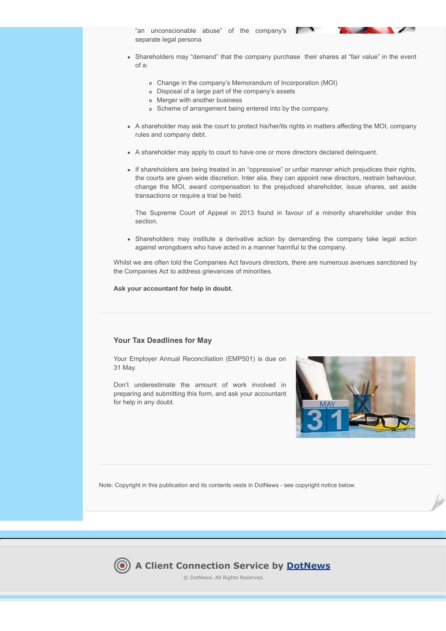"an unconscionable abuse" of the company's separate legal persona



• Shareholders may "demand" that the company purchase their shares at "fair value" in the event of a:

 $\sim$ 

- Change in the company's Memorandum of Incorporation (MOI)
- Disposal of a large part of the company's assets
- Merger with another business
- Scheme of arrangement being entered into by the company.
- A shareholder may ask the court to protect his/her/its rights in matters affecting the MOI, company rules and company debt.
- A shareholder may apply to court to have one or more directors declared delinquent.
- If shareholders are being treated in an "oppressive" or unfair manner which prejudices their rights, the courts are given wide discretion. Inter alia, they can appoint new directors, restrain behaviour, change the MOI, award compensation to the prejudiced shareholder, issue shares, set aside transactions or require a trial be held.

The Supreme Court of Appeal in 2013 found in favour of a minority shareholder under this section.

Shareholders may institute a derivative action by demanding the company take legal action against wrongdoers who have acted in a manner harmful to the company.

Whilst we are often told the Companies Act favours directors, there are numerous avenues sanctioned by the Companies Act to address grievances of minorities.

**Ask your accountant for help in doubt.**

#### <span id="page-6-0"></span>**Your Tax Deadlines for May**

Your Employer Annual Reconciliation (EMP501) is due on 31 May.

Don't underestimate the amount of work involved in preparing and submitting this form, and ask your accountant for help in any doubt.



Note: Copyright in this publication and its contents vests in DotNews - see copyright notice below.

### **A Client Connection Service by [DotNews](http://www.dotnews.co.za/)**

© DotNews. All Rights Reserved.